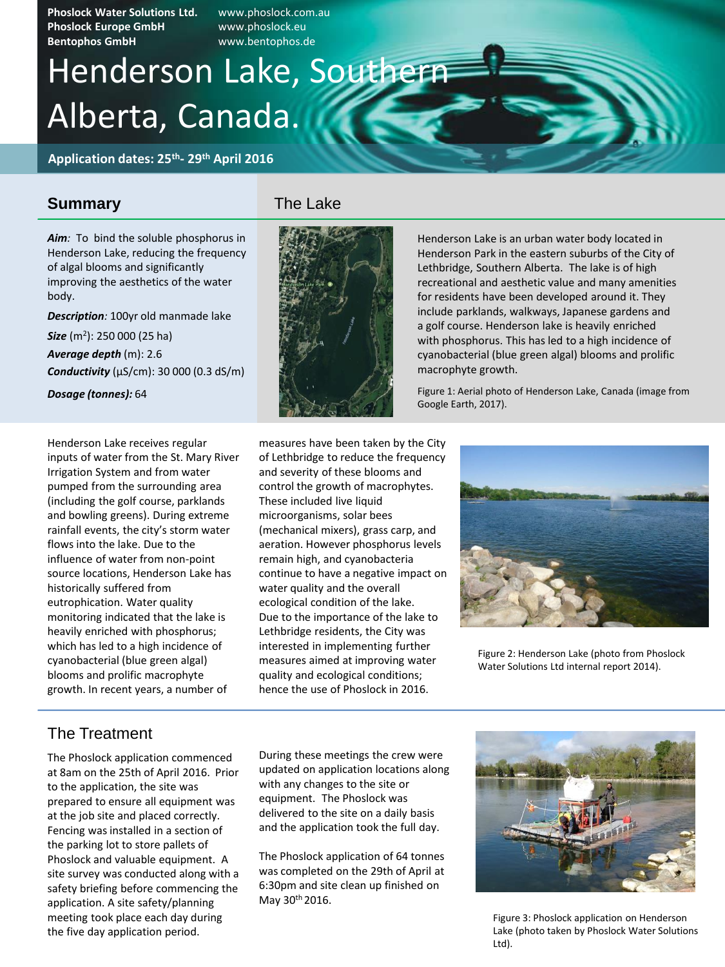**Phoslock Water Solutions Ltd.** www.phoslock.com.au **Phoslock Europe GmbH** www.phoslock.eu **Bentophos GmbH** www.bentophos.de

# Alberta, Canada. Henderson Lake, Southern

**Application dates: 25th - 29th April 2016** 

#### **Summary**

*Aim:* To bind the soluble phosphorus in Henderson Lake, reducing the frequency of algal blooms and significantly improving the aesthetics of the water body.

*Description:* 100yr old manmade lake *Size* (m<sup>2</sup> ): 250 000 (25 ha) *Average depth* (m): 2.6 *Conductivity* (µS/cm): 30 000 (0.3 dS/m)

*Dosage (tonnes):* 64

Henderson Lake receives regular inputs of water from the St. Mary River Irrigation System and from water pumped from the surrounding area (including the golf course, parklands and bowling greens). During extreme rainfall events, the city's storm water flows into the lake. Due to the influence of water from non-point source locations, Henderson Lake has historically suffered from eutrophication. Water quality monitoring indicated that the lake is heavily enriched with phosphorus; which has led to a high incidence of cyanobacterial (blue green algal) blooms and prolific macrophyte growth. In recent years, a number of



Henderson Lake is an urban water body located in Henderson Park in the eastern suburbs of the City of Lethbridge, Southern Alberta. The lake is of high recreational and aesthetic value and many amenities for residents have been developed around it. They include parklands, walkways, Japanese gardens and a golf course. Henderson lake is heavily enriched with phosphorus. This has led to a high incidence of cyanobacterial (blue green algal) blooms and prolific macrophyte growth.

Figure 1: Aerial photo of Henderson Lake, Canada (image from Google Earth, 2017).

measures have been taken by the City of Lethbridge to reduce the frequency and severity of these blooms and control the growth of macrophytes. These included live liquid microorganisms, solar bees (mechanical mixers), grass carp, and aeration. However phosphorus levels remain high, and cyanobacteria continue to have a negative impact on water quality and the overall ecological condition of the lake. Due to the importance of the lake to Lethbridge residents, the City was interested in implementing further measures aimed at improving water quality and ecological conditions; hence the use of Phoslock in 2016.



Figure 2: Henderson Lake (photo from Phoslock Water Solutions Ltd internal report 2014).

### The Treatment

The Phoslock application commenced at 8am on the 25th of April 2016. Prior to the application, the site was prepared to ensure all equipment was at the job site and placed correctly. Fencing was installed in a section of the parking lot to store pallets of Phoslock and valuable equipment. A site survey was conducted along with a safety briefing before commencing the application. A site safety/planning meeting took place each day during the five day application period.

During these meetings the crew were updated on application locations along with any changes to the site or equipment. The Phoslock was delivered to the site on a daily basis and the application took the full day.

The Phoslock application of 64 tonnes was completed on the 29th of April at 6:30pm and site clean up finished on May 30th 2016.



Figure 3: Phoslock application on Henderson Lake (photo taken by Phoslock Water Solutions Ltd).